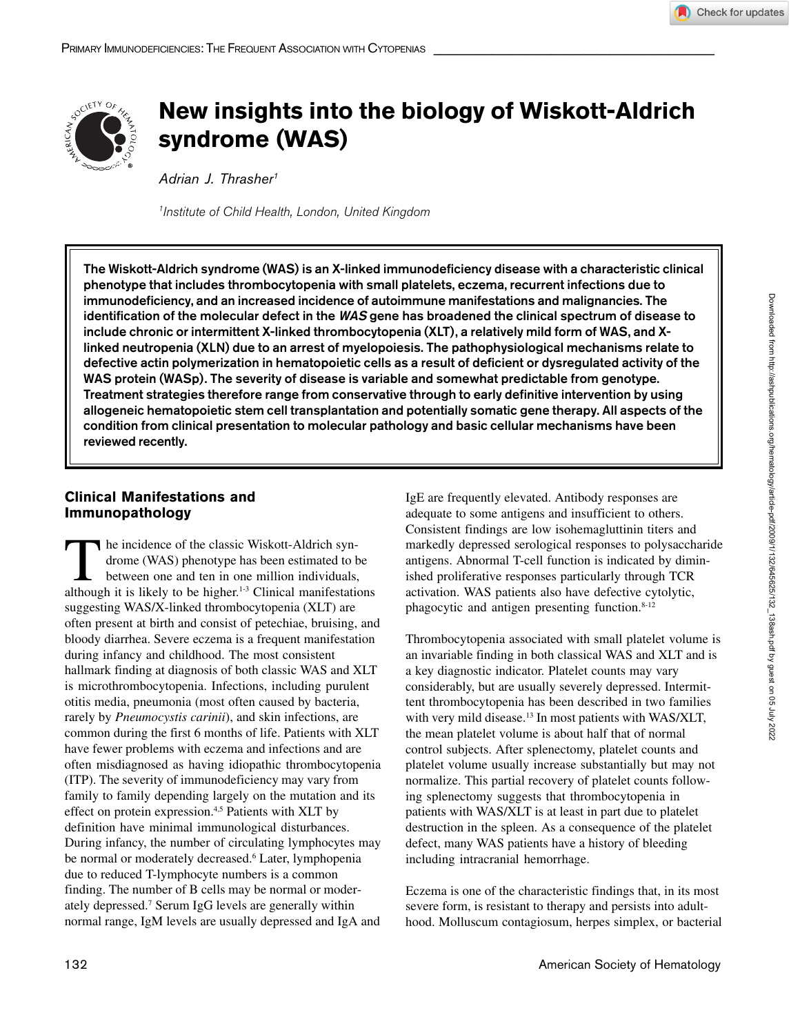



# **New insights into the biology of Wiskott-Aldrich syndrome (WAS)**

*Adrian J. Thrasher1*

*1 Institute of Child Health, London, United Kingdom*

The Wiskott-Aldrich syndrome (WAS) is an X-linked immunodeficiency disease with a characteristic clinical phenotype that includes thrombocytopenia with small platelets, eczema, recurrent infections due to immunodeficiency, and an increased incidence of autoimmune manifestations and malignancies. The identification of the molecular defect in the WAS gene has broadened the clinical spectrum of disease to include chronic or intermittent X-linked thrombocytopenia (XLT), a relatively mild form of WAS, and Xlinked neutropenia (XLN) due to an arrest of myelopoiesis. The pathophysiological mechanisms relate to defective actin polymerization in hematopoietic cells as a result of deficient or dysregulated activity of the WAS protein (WASp). The severity of disease is variable and somewhat predictable from genotype. Treatment strategies therefore range from conservative through to early definitive intervention by using allogeneic hematopoietic stem cell transplantation and potentially somatic gene therapy. All aspects of the condition from clinical presentation to molecular pathology and basic cellular mechanisms have been reviewed recently.

# **Clinical Manifestations and Immunopathology**

The incidence of the classic Wiskott-Aldrich syn-<br>drome (WAS) phenotype has been estimated to b<br>between one and ten in one million individuals,<br>although it is likely to be higher <sup>1-3</sup> Clinical manifestation drome (WAS) phenotype has been estimated to be between one and ten in one million individuals, although it is likely to be higher.<sup>1-3</sup> Clinical manifestations suggesting WAS/X-linked thrombocytopenia (XLT) are often present at birth and consist of petechiae, bruising, and bloody diarrhea. Severe eczema is a frequent manifestation during infancy and childhood. The most consistent hallmark finding at diagnosis of both classic WAS and XLT is microthrombocytopenia. Infections, including purulent otitis media, pneumonia (most often caused by bacteria, rarely by *Pneumocystis carinii*), and skin infections, are common during the first 6 months of life. Patients with XLT have fewer problems with eczema and infections and are often misdiagnosed as having idiopathic thrombocytopenia (ITP). The severity of immunodeficiency may vary from family to family depending largely on the mutation and its effect on protein expression.4,5 Patients with XLT by definition have minimal immunological disturbances. During infancy, the number of circulating lymphocytes may be normal or moderately decreased.<sup>6</sup> Later, lymphopenia due to reduced T-lymphocyte numbers is a common finding. The number of B cells may be normal or moderately depressed.7 Serum IgG levels are generally within normal range, IgM levels are usually depressed and IgA and

IgE are frequently elevated. Antibody responses are adequate to some antigens and insufficient to others. Consistent findings are low isohemagluttinin titers and markedly depressed serological responses to polysaccharide antigens. Abnormal T-cell function is indicated by diminished proliferative responses particularly through TCR activation. WAS patients also have defective cytolytic, phagocytic and antigen presenting function.8-12

Thrombocytopenia associated with small platelet volume is an invariable finding in both classical WAS and XLT and is a key diagnostic indicator. Platelet counts may vary considerably, but are usually severely depressed. Intermittent thrombocytopenia has been described in two families with very mild disease.<sup>13</sup> In most patients with WAS/XLT, the mean platelet volume is about half that of normal control subjects. After splenectomy, platelet counts and platelet volume usually increase substantially but may not normalize. This partial recovery of platelet counts following splenectomy suggests that thrombocytopenia in patients with WAS/XLT is at least in part due to platelet destruction in the spleen. As a consequence of the platelet defect, many WAS patients have a history of bleeding including intracranial hemorrhage.

Eczema is one of the characteristic findings that, in its most severe form, is resistant to therapy and persists into adulthood. Molluscum contagiosum, herpes simplex, or bacterial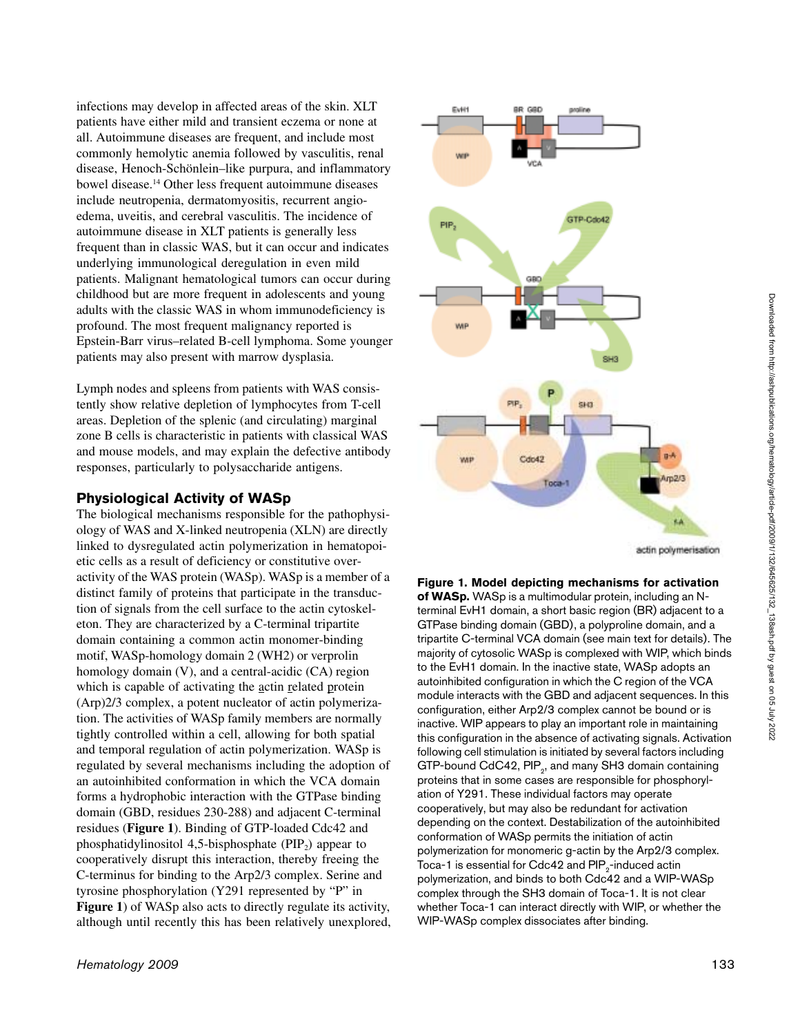infections may develop in affected areas of the skin. XLT patients have either mild and transient eczema or none at all. Autoimmune diseases are frequent, and include most commonly hemolytic anemia followed by vasculitis, renal disease, Henoch-Schönlein–like purpura, and inflammatory bowel disease.14 Other less frequent autoimmune diseases include neutropenia, dermatomyositis, recurrent angioedema, uveitis, and cerebral vasculitis. The incidence of autoimmune disease in XLT patients is generally less frequent than in classic WAS, but it can occur and indicates underlying immunological deregulation in even mild patients. Malignant hematological tumors can occur during childhood but are more frequent in adolescents and young adults with the classic WAS in whom immunodeficiency is profound. The most frequent malignancy reported is Epstein-Barr virus–related B-cell lymphoma. Some younger patients may also present with marrow dysplasia.

Lymph nodes and spleens from patients with WAS consistently show relative depletion of lymphocytes from T-cell areas. Depletion of the splenic (and circulating) marginal zone B cells is characteristic in patients with classical WAS and mouse models, and may explain the defective antibody responses, particularly to polysaccharide antigens.

# **Physiological Activity of WASp**

The biological mechanisms responsible for the pathophysiology of WAS and X-linked neutropenia (XLN) are directly linked to dysregulated actin polymerization in hematopoietic cells as a result of deficiency or constitutive overactivity of the WAS protein (WASp). WASp is a member of a distinct family of proteins that participate in the transduction of signals from the cell surface to the actin cytoskeleton. They are characterized by a C-terminal tripartite domain containing a common actin monomer-binding motif, WASp-homology domain 2 (WH2) or verprolin homology domain (V), and a central-acidic (CA) region which is capable of activating the actin related protein (Arp)2/3 complex, a potent nucleator of actin polymerization. The activities of WASp family members are normally tightly controlled within a cell, allowing for both spatial and temporal regulation of actin polymerization. WASp is regulated by several mechanisms including the adoption of an autoinhibited conformation in which the VCA domain forms a hydrophobic interaction with the GTPase binding domain (GBD, residues 230-288) and adjacent C-terminal residues (**Figure 1**). Binding of GTP-loaded Cdc42 and phosphatidylinositol 4,5-bisphosphate  $(PIP<sub>2</sub>)$  appear to cooperatively disrupt this interaction, thereby freeing the C-terminus for binding to the Arp2/3 complex. Serine and tyrosine phosphorylation (Y291 represented by "P" in Figure 1) of WASp also acts to directly regulate its activity, although until recently this has been relatively unexplored,



**Figure 1. Model depicting mechanisms for activation of WASp.** WASp is a multimodular protein, including an Nterminal EvH1 domain, a short basic region (BR) adjacent to a GTPase binding domain (GBD), a polyproline domain, and a tripartite C-terminal VCA domain (see main text for details). The majority of cytosolic WASp is complexed with WIP, which binds to the EvH1 domain. In the inactive state, WASp adopts an autoinhibited configuration in which the C region of the VCA module interacts with the GBD and adjacent sequences. In this configuration, either Arp2/3 complex cannot be bound or is inactive. WIP appears to play an important role in maintaining this configuration in the absence of activating signals. Activation following cell stimulation is initiated by several factors including  ${\sf GTP}\text{-}$ bound  ${\sf CdC42},$   ${\sf PIP}_2$ , and many  ${\sf SH3}$  domain containing proteins that in some cases are responsible for phosphorylation of Y291. These individual factors may operate cooperatively, but may also be redundant for activation depending on the context. Destabilization of the autoinhibited conformation of WASp permits the initiation of actin polymerization for monomeric g-actin by the Arp2/3 complex. Toca-1 is essential for Cdc42 and PIP<sub>2</sub>-induced actin polymerization, and binds to both Cdc42 and a WIP-WASp complex through the SH3 domain of Toca-1. It is not clear whether Toca-1 can interact directly with WIP, or whether the WIP-WASp complex dissociates after binding.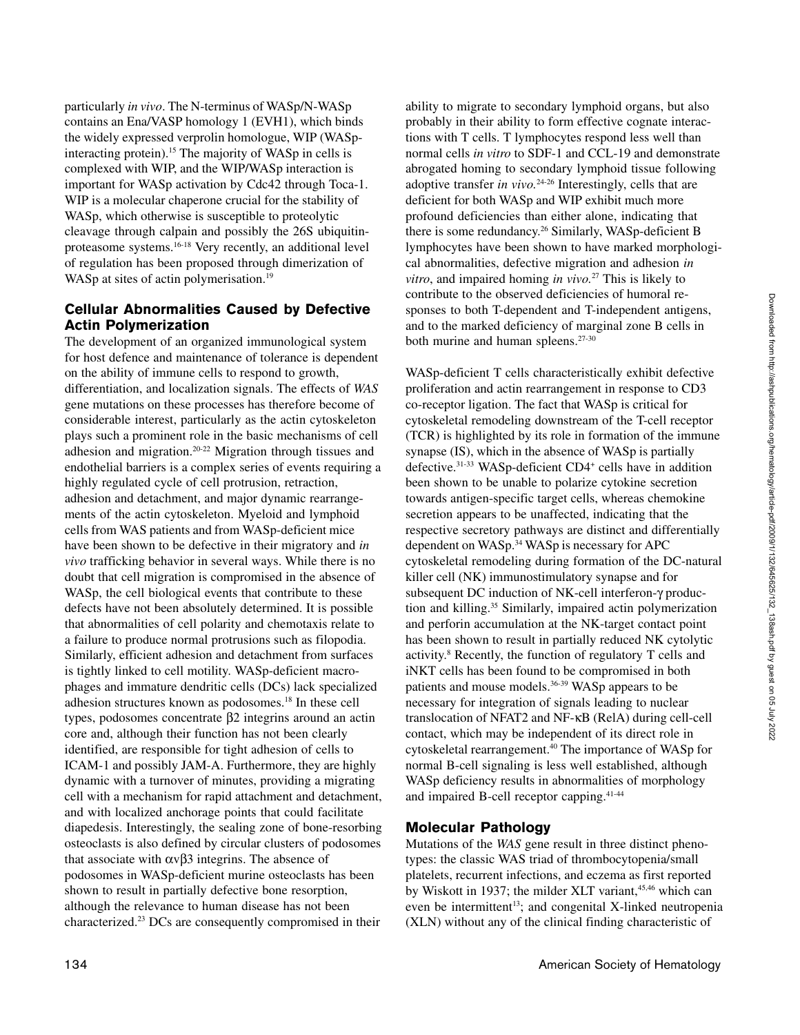particularly *in vivo*. The N-terminus of WASp/N-WASp contains an Ena/VASP homology 1 (EVH1), which binds the widely expressed verprolin homologue, WIP (WASpinteracting protein).15 The majority of WASp in cells is complexed with WIP, and the WIP/WASp interaction is important for WASp activation by Cdc42 through Toca-1. WIP is a molecular chaperone crucial for the stability of WASp, which otherwise is susceptible to proteolytic cleavage through calpain and possibly the 26S ubiquitinproteasome systems.16-18 Very recently, an additional level of regulation has been proposed through dimerization of WASp at sites of actin polymerisation.<sup>19</sup>

### **Cellular Abnormalities Caused by Defective Actin Polymerization**

The development of an organized immunological system for host defence and maintenance of tolerance is dependent on the ability of immune cells to respond to growth, differentiation, and localization signals. The effects of *WAS* gene mutations on these processes has therefore become of considerable interest, particularly as the actin cytoskeleton plays such a prominent role in the basic mechanisms of cell adhesion and migration.20-22 Migration through tissues and endothelial barriers is a complex series of events requiring a highly regulated cycle of cell protrusion, retraction, adhesion and detachment, and major dynamic rearrangements of the actin cytoskeleton. Myeloid and lymphoid cells from WAS patients and from WASp-deficient mice have been shown to be defective in their migratory and *in vivo* trafficking behavior in several ways. While there is no doubt that cell migration is compromised in the absence of WASp, the cell biological events that contribute to these defects have not been absolutely determined. It is possible that abnormalities of cell polarity and chemotaxis relate to a failure to produce normal protrusions such as filopodia. Similarly, efficient adhesion and detachment from surfaces is tightly linked to cell motility. WASp-deficient macrophages and immature dendritic cells (DCs) lack specialized adhesion structures known as podosomes.18 In these cell types, podosomes concentrate β2 integrins around an actin core and, although their function has not been clearly identified, are responsible for tight adhesion of cells to ICAM-1 and possibly JAM-A. Furthermore, they are highly dynamic with a turnover of minutes, providing a migrating cell with a mechanism for rapid attachment and detachment, and with localized anchorage points that could facilitate diapedesis. Interestingly, the sealing zone of bone-resorbing osteoclasts is also defined by circular clusters of podosomes that associate with  $αvβ3$  integrins. The absence of podosomes in WASp-deficient murine osteoclasts has been shown to result in partially defective bone resorption, although the relevance to human disease has not been characterized.23 DCs are consequently compromised in their

ability to migrate to secondary lymphoid organs, but also probably in their ability to form effective cognate interactions with T cells. T lymphocytes respond less well than normal cells *in vitro* to SDF-1 and CCL-19 and demonstrate abrogated homing to secondary lymphoid tissue following adoptive transfer *in vivo.*24-26 Interestingly, cells that are deficient for both WASp and WIP exhibit much more profound deficiencies than either alone, indicating that there is some redundancy.<sup>26</sup> Similarly, WASp-deficient B lymphocytes have been shown to have marked morphological abnormalities, defective migration and adhesion *in vitro*, and impaired homing *in vivo.*27 This is likely to contribute to the observed deficiencies of humoral responses to both T-dependent and T-independent antigens, and to the marked deficiency of marginal zone B cells in both murine and human spleens.<sup>27-30</sup>

WASp-deficient T cells characteristically exhibit defective proliferation and actin rearrangement in response to CD3 co-receptor ligation. The fact that WASp is critical for cytoskeletal remodeling downstream of the T-cell receptor (TCR) is highlighted by its role in formation of the immune synapse (IS), which in the absence of WASp is partially defective.31-33 WASp-deficient CD4+ cells have in addition been shown to be unable to polarize cytokine secretion towards antigen-specific target cells, whereas chemokine secretion appears to be unaffected, indicating that the respective secretory pathways are distinct and differentially dependent on WASp.34 WASp is necessary for APC cytoskeletal remodeling during formation of the DC-natural killer cell (NK) immunostimulatory synapse and for subsequent DC induction of NK-cell interferon-γ production and killing.<sup>35</sup> Similarly, impaired actin polymerization and perforin accumulation at the NK-target contact point has been shown to result in partially reduced NK cytolytic activity.<sup>8</sup> Recently, the function of regulatory T cells and iNKT cells has been found to be compromised in both patients and mouse models.36-39 WASp appears to be necessary for integration of signals leading to nuclear translocation of NFAT2 and NF-κB (RelA) during cell-cell contact, which may be independent of its direct role in cytoskeletal rearrangement.<sup>40</sup> The importance of WASp for normal B-cell signaling is less well established, although WASp deficiency results in abnormalities of morphology and impaired B-cell receptor capping.41-44

#### **Molecular Pathology**

Mutations of the *WAS* gene result in three distinct phenotypes: the classic WAS triad of thrombocytopenia/small platelets, recurrent infections, and eczema as first reported by Wiskott in 1937; the milder XLT variant,<sup>45,46</sup> which can even be intermittent<sup>13</sup>; and congenital X-linked neutropenia (XLN) without any of the clinical finding characteristic of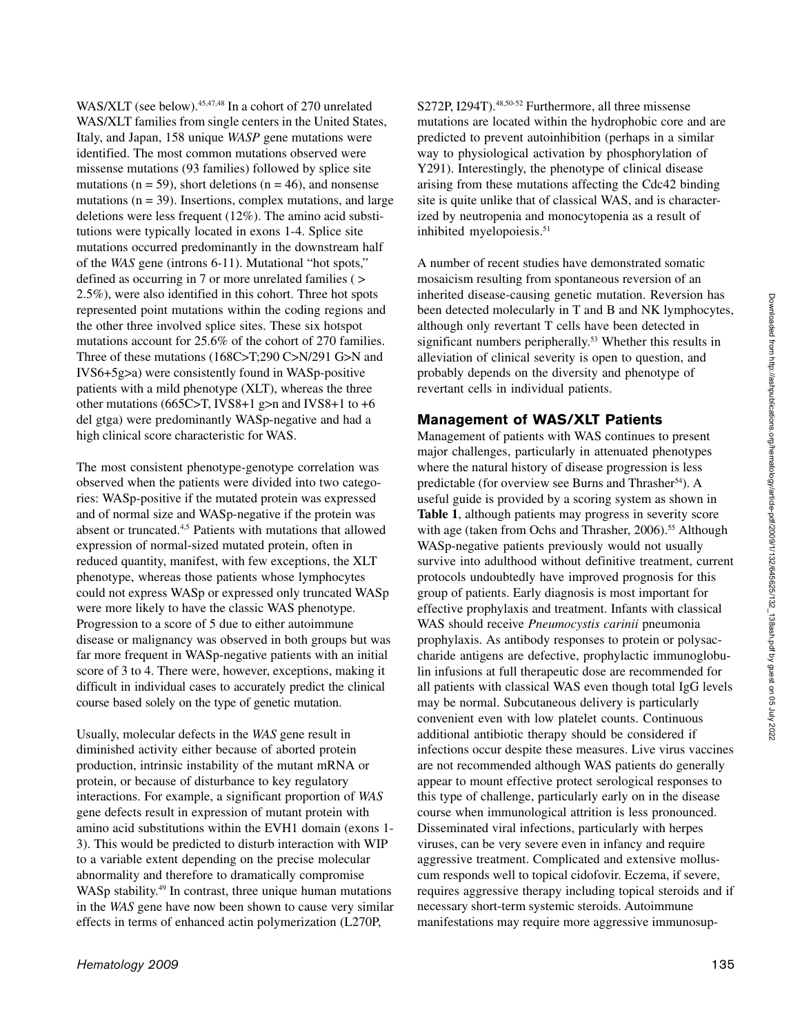WAS/XLT (see below).<sup>45,47,48</sup> In a cohort of 270 unrelated WAS/XLT families from single centers in the United States, Italy, and Japan, 158 unique *WASP* gene mutations were identified. The most common mutations observed were missense mutations (93 families) followed by splice site mutations ( $n = 59$ ), short deletions ( $n = 46$ ), and nonsense mutations ( $n = 39$ ). Insertions, complex mutations, and large deletions were less frequent (12%). The amino acid substitutions were typically located in exons 1-4. Splice site mutations occurred predominantly in the downstream half of the *WAS* gene (introns 6-11). Mutational "hot spots," defined as occurring in 7 or more unrelated families ( > 2.5%), were also identified in this cohort. Three hot spots represented point mutations within the coding regions and the other three involved splice sites. These six hotspot mutations account for 25.6% of the cohort of 270 families. Three of these mutations (168C>T;290 C>N/291 G>N and IVS6+5g>a) were consistently found in WASp-positive patients with a mild phenotype (XLT), whereas the three other mutations (665C>T, IVS8+1 g>n and IVS8+1 to  $+6$ del gtga) were predominantly WASp-negative and had a high clinical score characteristic for WAS.

The most consistent phenotype-genotype correlation was observed when the patients were divided into two categories: WASp-positive if the mutated protein was expressed and of normal size and WASp-negative if the protein was absent or truncated.4,5 Patients with mutations that allowed expression of normal-sized mutated protein, often in reduced quantity, manifest, with few exceptions, the XLT phenotype, whereas those patients whose lymphocytes could not express WASp or expressed only truncated WASp were more likely to have the classic WAS phenotype. Progression to a score of 5 due to either autoimmune disease or malignancy was observed in both groups but was far more frequent in WASp-negative patients with an initial score of 3 to 4. There were, however, exceptions, making it difficult in individual cases to accurately predict the clinical course based solely on the type of genetic mutation.

Usually, molecular defects in the *WAS* gene result in diminished activity either because of aborted protein production, intrinsic instability of the mutant mRNA or protein, or because of disturbance to key regulatory interactions. For example, a significant proportion of *WAS* gene defects result in expression of mutant protein with amino acid substitutions within the EVH1 domain (exons 1- 3). This would be predicted to disturb interaction with WIP to a variable extent depending on the precise molecular abnormality and therefore to dramatically compromise WASp stability.<sup>49</sup> In contrast, three unique human mutations in the *WAS* gene have now been shown to cause very similar effects in terms of enhanced actin polymerization (L270P,

S272P, I294T).<sup>48,50-52</sup> Furthermore, all three missense mutations are located within the hydrophobic core and are predicted to prevent autoinhibition (perhaps in a similar way to physiological activation by phosphorylation of Y291). Interestingly, the phenotype of clinical disease arising from these mutations affecting the Cdc42 binding site is quite unlike that of classical WAS, and is characterized by neutropenia and monocytopenia as a result of inhibited myelopoiesis.<sup>51</sup>

A number of recent studies have demonstrated somatic mosaicism resulting from spontaneous reversion of an inherited disease-causing genetic mutation. Reversion has been detected molecularly in T and B and NK lymphocytes, although only revertant T cells have been detected in significant numbers peripherally.<sup>53</sup> Whether this results in alleviation of clinical severity is open to question, and probably depends on the diversity and phenotype of revertant cells in individual patients.

### **Management of WAS/XLT Patients**

Management of patients with WAS continues to present major challenges, particularly in attenuated phenotypes where the natural history of disease progression is less predictable (for overview see Burns and Thrasher<sup>54</sup>). A useful guide is provided by a scoring system as shown in **Table 1**, although patients may progress in severity score with age (taken from Ochs and Thrasher, 2006).<sup>55</sup> Although WASp-negative patients previously would not usually survive into adulthood without definitive treatment, current protocols undoubtedly have improved prognosis for this group of patients. Early diagnosis is most important for effective prophylaxis and treatment. Infants with classical WAS should receive *Pneumocystis carinii* pneumonia prophylaxis. As antibody responses to protein or polysaccharide antigens are defective, prophylactic immunoglobulin infusions at full therapeutic dose are recommended for all patients with classical WAS even though total IgG levels may be normal. Subcutaneous delivery is particularly convenient even with low platelet counts. Continuous additional antibiotic therapy should be considered if infections occur despite these measures. Live virus vaccines are not recommended although WAS patients do generally appear to mount effective protect serological responses to this type of challenge, particularly early on in the disease course when immunological attrition is less pronounced. Disseminated viral infections, particularly with herpes viruses, can be very severe even in infancy and require aggressive treatment. Complicated and extensive molluscum responds well to topical cidofovir. Eczema, if severe, requires aggressive therapy including topical steroids and if necessary short-term systemic steroids. Autoimmune manifestations may require more aggressive immunosup-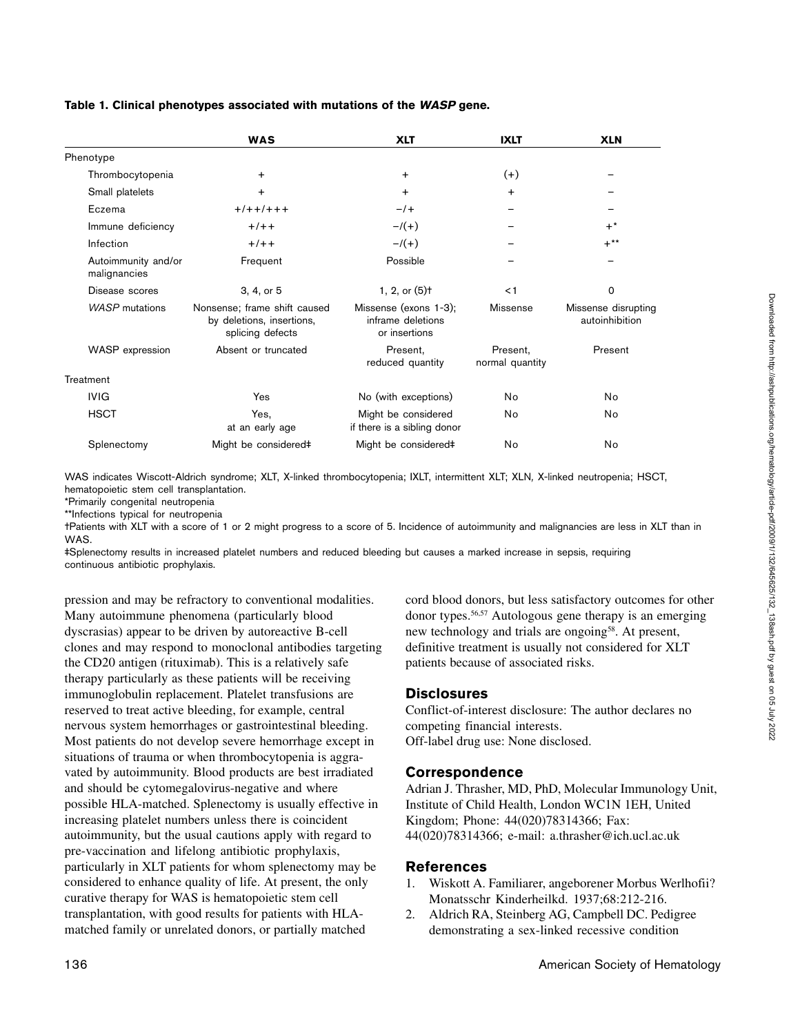| $+^*$                                  |
|----------------------------------------|
| $+***$                                 |
|                                        |
|                                        |
| $\Omega$                               |
| Missense disrupting<br>autoinhibition  |
| Present<br>tity                        |
|                                        |
| No                                     |
| No                                     |
|                                        |
| No                                     |
| X-linked neutropenia; HSCT,            |
| I malignancies are less in XLT than in |
| se in sepsis, requiring                |

#### **Table 1. Clinical phenotypes associated with mutations of the WASP gene.**

Phenotype Thrombocytopenia + + (+) – Small platelets  $+$  +  $+$  +  $+$ Eczema +/++/+++ –/+ – – Immune deficiency  $+/++$   $-/(+)$ Infection  $+/++$   $-/(+)$   $+$   $+$ Autoimmunity and/or Frequent Frequent Possible malignancies Disease scores  $3, 4, \text{ or } 5$  1, 2, or  $(5)$ <sup>†</sup>  $\leq 1$ *WASP* mutations Nonsense; frame shift caused Missense (exons 1-3); Missense by deletions, insertions, intrame deletions splicing defects or insertions WASP expression and Absent or truncated and Present, and Present, Present, reduced quantity normal quan Treatment IVIG Yes No (with exceptions) No No HSCT Yes, Might be considered No No at an early age if there is a sibling donor Splenectomy Might be considered‡ Might be considered‡ No No

**WAS XLT IXLT XLN**

WAS indicates Wiscott-Aldrich syndrome; XLT, X-linked thrombocytopenia; IXLT, intermittent XLT; XLN, hematopoietic stem cell transplantation.

\*Primarily congenital neutropenia

\*\*Infections typical for neutropenia

†Patients with XLT with a score of 1 or 2 might progress to a score of 5. Incidence of autoimmunity and malignancies are less in XLT than in WAS.

‡Splenectomy results in increased platelet numbers and reduced bleeding but causes a marked increase in sepsis, requiring continuous antibiotic prophylaxis.

pression and may be refractory to conventional modalities. Many autoimmune phenomena (particularly blood dyscrasias) appear to be driven by autoreactive B-cell clones and may respond to monoclonal antibodies targeting the CD20 antigen (rituximab). This is a relatively safe therapy particularly as these patients will be receiving immunoglobulin replacement. Platelet transfusions are reserved to treat active bleeding, for example, central nervous system hemorrhages or gastrointestinal bleeding. Most patients do not develop severe hemorrhage except in situations of trauma or when thrombocytopenia is aggravated by autoimmunity. Blood products are best irradiated and should be cytomegalovirus-negative and where possible HLA-matched. Splenectomy is usually effective in increasing platelet numbers unless there is coincident autoimmunity, but the usual cautions apply with regard to pre-vaccination and lifelong antibiotic prophylaxis, particularly in XLT patients for whom splenectomy may be considered to enhance quality of life. At present, the only curative therapy for WAS is hematopoietic stem cell transplantation, with good results for patients with HLAmatched family or unrelated donors, or partially matched

cord blood donors, but less satisfactory outcomes for other donor types.56,57 Autologous gene therapy is an emerging new technology and trials are ongoing<sup>58</sup>. At present, definitive treatment is usually not considered for XLT patients because of associated risks.

# **Disclosures**

Conflict-of-interest disclosure: The author declares no competing financial interests. Off-label drug use: None disclosed.

# **Correspondence**

Adrian J. Thrasher, MD, PhD, Molecular Immunology Unit, Institute of Child Health, London WC1N 1EH, United Kingdom; Phone: 44(020)78314366; Fax: 44(020)78314366; e-mail: a.thrasher@ich.ucl.ac.uk

#### **References**

- 1. Wiskott A. Familiarer, angeborener Morbus Werlhofii? Monatsschr Kinderheilkd. 1937;68:212-216.
- 2. Aldrich RA, Steinberg AG, Campbell DC. Pedigree demonstrating a sex-linked recessive condition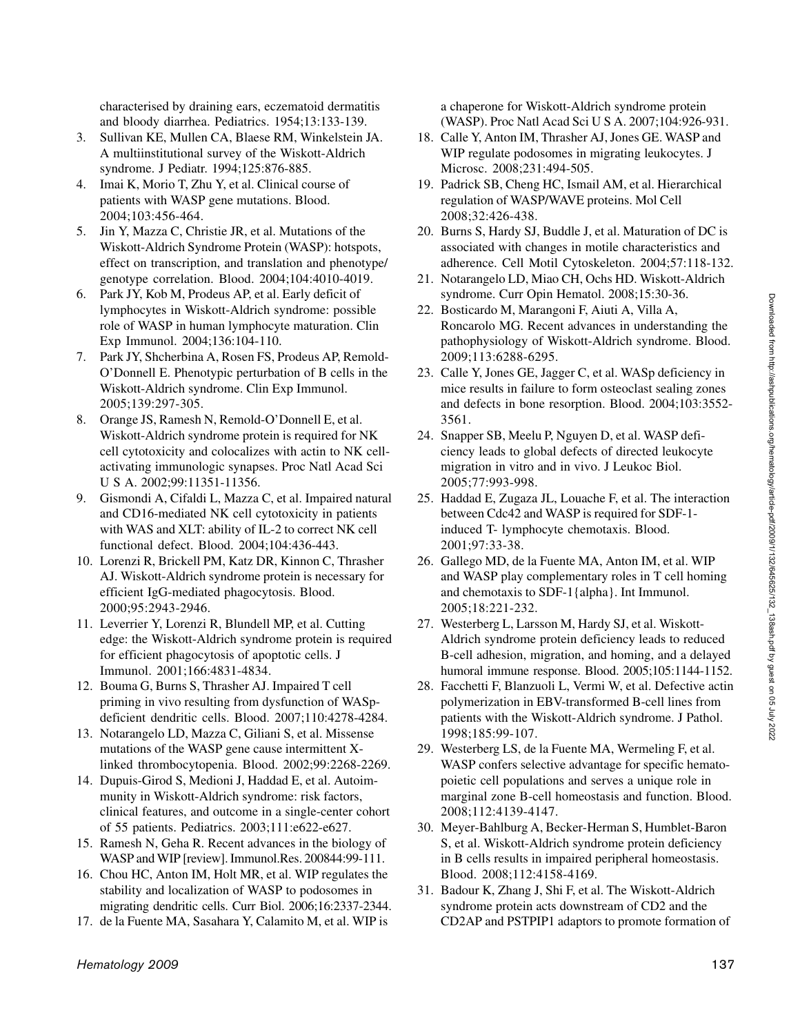characterised by draining ears, eczematoid dermatitis and bloody diarrhea. Pediatrics. 1954;13:133-139.

- 3. Sullivan KE, Mullen CA, Blaese RM, Winkelstein JA. A multiinstitutional survey of the Wiskott-Aldrich syndrome. J Pediatr. 1994;125:876-885.
- 4. Imai K, Morio T, Zhu Y, et al. Clinical course of patients with WASP gene mutations. Blood. 2004;103:456-464.
- 5. Jin Y, Mazza C, Christie JR, et al. Mutations of the Wiskott-Aldrich Syndrome Protein (WASP): hotspots, effect on transcription, and translation and phenotype/ genotype correlation. Blood. 2004;104:4010-4019.
- 6. Park JY, Kob M, Prodeus AP, et al. Early deficit of lymphocytes in Wiskott-Aldrich syndrome: possible role of WASP in human lymphocyte maturation. Clin Exp Immunol. 2004;136:104-110.
- 7. Park JY, Shcherbina A, Rosen FS, Prodeus AP, Remold-O'Donnell E. Phenotypic perturbation of B cells in the Wiskott-Aldrich syndrome. Clin Exp Immunol. 2005;139:297-305.
- 8. Orange JS, Ramesh N, Remold-O'Donnell E, et al. Wiskott-Aldrich syndrome protein is required for NK cell cytotoxicity and colocalizes with actin to NK cellactivating immunologic synapses. Proc Natl Acad Sci U S A. 2002;99:11351-11356.
- 9. Gismondi A, Cifaldi L, Mazza C, et al. Impaired natural and CD16-mediated NK cell cytotoxicity in patients with WAS and XLT: ability of IL-2 to correct NK cell functional defect. Blood. 2004;104:436-443.
- 10. Lorenzi R, Brickell PM, Katz DR, Kinnon C, Thrasher AJ. Wiskott-Aldrich syndrome protein is necessary for efficient IgG-mediated phagocytosis. Blood. 2000;95:2943-2946.
- 11. Leverrier Y, Lorenzi R, Blundell MP, et al. Cutting edge: the Wiskott-Aldrich syndrome protein is required for efficient phagocytosis of apoptotic cells. J Immunol. 2001;166:4831-4834.
- 12. Bouma G, Burns S, Thrasher AJ. Impaired T cell priming in vivo resulting from dysfunction of WASpdeficient dendritic cells. Blood. 2007;110:4278-4284.
- 13. Notarangelo LD, Mazza C, Giliani S, et al. Missense mutations of the WASP gene cause intermittent Xlinked thrombocytopenia. Blood. 2002;99:2268-2269.
- 14. Dupuis-Girod S, Medioni J, Haddad E, et al. Autoimmunity in Wiskott-Aldrich syndrome: risk factors, clinical features, and outcome in a single-center cohort of 55 patients. Pediatrics. 2003;111:e622-e627.
- 15. Ramesh N, Geha R. Recent advances in the biology of WASP and WIP [review]. Immunol.Res. 200844:99-111.
- 16. Chou HC, Anton IM, Holt MR, et al. WIP regulates the stability and localization of WASP to podosomes in migrating dendritic cells. Curr Biol. 2006;16:2337-2344.
- 17. de la Fuente MA, Sasahara Y, Calamito M, et al. WIP is

a chaperone for Wiskott-Aldrich syndrome protein (WASP). Proc Natl Acad Sci U S A. 2007;104:926-931.

- 18. Calle Y, Anton IM, Thrasher AJ, Jones GE. WASP and WIP regulate podosomes in migrating leukocytes. J Microsc. 2008;231:494-505.
- 19. Padrick SB, Cheng HC, Ismail AM, et al. Hierarchical regulation of WASP/WAVE proteins. Mol Cell 2008;32:426-438.
- 20. Burns S, Hardy SJ, Buddle J, et al. Maturation of DC is associated with changes in motile characteristics and adherence. Cell Motil Cytoskeleton. 2004;57:118-132.
- 21. Notarangelo LD, Miao CH, Ochs HD. Wiskott-Aldrich syndrome. Curr Opin Hematol. 2008;15:30-36.
- 22. Bosticardo M, Marangoni F, Aiuti A, Villa A, Roncarolo MG. Recent advances in understanding the pathophysiology of Wiskott-Aldrich syndrome. Blood. 2009;113:6288-6295.
- 23. Calle Y, Jones GE, Jagger C, et al. WASp deficiency in mice results in failure to form osteoclast sealing zones and defects in bone resorption. Blood. 2004;103:3552- 3561.
- 24. Snapper SB, Meelu P, Nguyen D, et al. WASP deficiency leads to global defects of directed leukocyte migration in vitro and in vivo. J Leukoc Biol. 2005;77:993-998.
- 25. Haddad E, Zugaza JL, Louache F, et al. The interaction between Cdc42 and WASP is required for SDF-1 induced T- lymphocyte chemotaxis. Blood. 2001;97:33-38.
- 26. Gallego MD, de la Fuente MA, Anton IM, et al. WIP and WASP play complementary roles in T cell homing and chemotaxis to SDF-1{alpha}. Int Immunol. 2005;18:221-232.
- 27. Westerberg L, Larsson M, Hardy SJ, et al. Wiskott-Aldrich syndrome protein deficiency leads to reduced B-cell adhesion, migration, and homing, and a delayed humoral immune response. Blood. 2005;105:1144-1152.
- 28. Facchetti F, Blanzuoli L, Vermi W, et al. Defective actin polymerization in EBV-transformed B-cell lines from patients with the Wiskott-Aldrich syndrome. J Pathol. 1998;185:99-107.
- 29. Westerberg LS, de la Fuente MA, Wermeling F, et al. WASP confers selective advantage for specific hematopoietic cell populations and serves a unique role in marginal zone B-cell homeostasis and function. Blood. 2008;112:4139-4147.
- 30. Meyer-Bahlburg A, Becker-Herman S, Humblet-Baron S, et al. Wiskott-Aldrich syndrome protein deficiency in B cells results in impaired peripheral homeostasis. Blood. 2008;112:4158-4169.
- 31. Badour K, Zhang J, Shi F, et al. The Wiskott-Aldrich syndrome protein acts downstream of CD2 and the CD2AP and PSTPIP1 adaptors to promote formation of